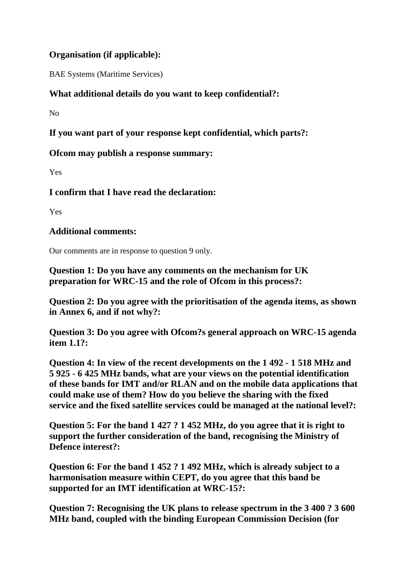## **Organisation (if applicable):**

BAE Systems (Maritime Services)

## **What additional details do you want to keep confidential?:**

 $N<sub>0</sub>$ 

**If you want part of your response kept confidential, which parts?:**

**Ofcom may publish a response summary:**

Yes

**I confirm that I have read the declaration:**

Yes

## **Additional comments:**

Our comments are in response to question 9 only.

**Question 1: Do you have any comments on the mechanism for UK preparation for WRC-15 and the role of Ofcom in this process?:**

**Question 2: Do you agree with the prioritisation of the agenda items, as shown in Annex 6, and if not why?:**

**Question 3: Do you agree with Ofcom?s general approach on WRC-15 agenda item 1.1?:**

**Question 4: In view of the recent developments on the 1 492 - 1 518 MHz and 5 925 - 6 425 MHz bands, what are your views on the potential identification of these bands for IMT and/or RLAN and on the mobile data applications that could make use of them? How do you believe the sharing with the fixed service and the fixed satellite services could be managed at the national level?:**

**Question 5: For the band 1 427 ? 1 452 MHz, do you agree that it is right to support the further consideration of the band, recognising the Ministry of Defence interest?:**

**Question 6: For the band 1 452 ? 1 492 MHz, which is already subject to a harmonisation measure within CEPT, do you agree that this band be supported for an IMT identification at WRC-15?:**

**Question 7: Recognising the UK plans to release spectrum in the 3 400 ? 3 600 MHz band, coupled with the binding European Commission Decision (for**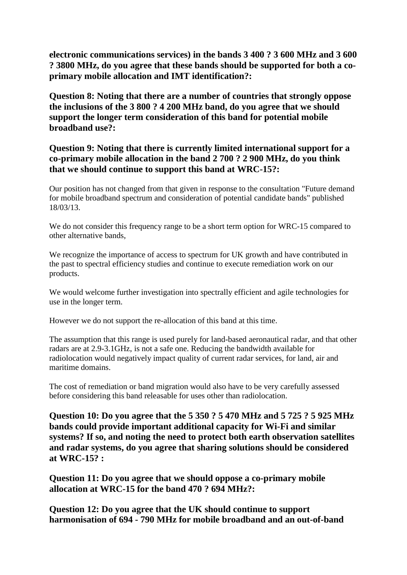**electronic communications services) in the bands 3 400 ? 3 600 MHz and 3 600 ? 3800 MHz, do you agree that these bands should be supported for both a coprimary mobile allocation and IMT identification?:**

**Question 8: Noting that there are a number of countries that strongly oppose the inclusions of the 3 800 ? 4 200 MHz band, do you agree that we should support the longer term consideration of this band for potential mobile broadband use?:**

**Question 9: Noting that there is currently limited international support for a co-primary mobile allocation in the band 2 700 ? 2 900 MHz, do you think that we should continue to support this band at WRC-15?:**

Our position has not changed from that given in response to the consultation "Future demand for mobile broadband spectrum and consideration of potential candidate bands" published 18/03/13.

We do not consider this frequency range to be a short term option for WRC-15 compared to other alternative bands,

We recognize the importance of access to spectrum for UK growth and have contributed in the past to spectral efficiency studies and continue to execute remediation work on our products.

We would welcome further investigation into spectrally efficient and agile technologies for use in the longer term.

However we do not support the re-allocation of this band at this time.

The assumption that this range is used purely for land-based aeronautical radar, and that other radars are at 2.9-3.1GHz, is not a safe one. Reducing the bandwidth available for radiolocation would negatively impact quality of current radar services, for land, air and maritime domains.

The cost of remediation or band migration would also have to be very carefully assessed before considering this band releasable for uses other than radiolocation.

**Question 10: Do you agree that the 5 350 ? 5 470 MHz and 5 725 ? 5 925 MHz bands could provide important additional capacity for Wi-Fi and similar systems? If so, and noting the need to protect both earth observation satellites and radar systems, do you agree that sharing solutions should be considered at WRC-15? :**

**Question 11: Do you agree that we should oppose a co-primary mobile allocation at WRC-15 for the band 470 ? 694 MHz?:**

**Question 12: Do you agree that the UK should continue to support harmonisation of 694 - 790 MHz for mobile broadband and an out-of-band**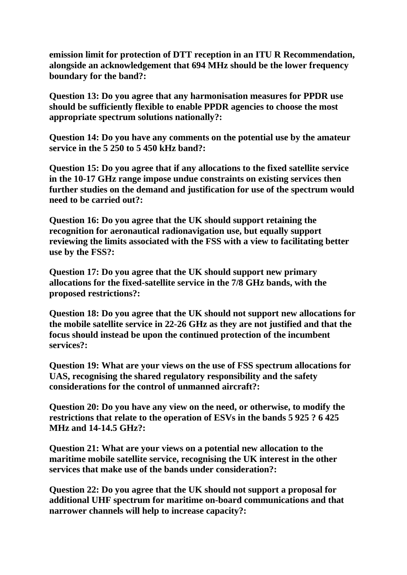**emission limit for protection of DTT reception in an ITU R Recommendation, alongside an acknowledgement that 694 MHz should be the lower frequency boundary for the band?:**

**Question 13: Do you agree that any harmonisation measures for PPDR use should be sufficiently flexible to enable PPDR agencies to choose the most appropriate spectrum solutions nationally?:**

**Question 14: Do you have any comments on the potential use by the amateur service in the 5 250 to 5 450 kHz band?:**

**Question 15: Do you agree that if any allocations to the fixed satellite service in the 10-17 GHz range impose undue constraints on existing services then further studies on the demand and justification for use of the spectrum would need to be carried out?:**

**Question 16: Do you agree that the UK should support retaining the recognition for aeronautical radionavigation use, but equally support reviewing the limits associated with the FSS with a view to facilitating better use by the FSS?:**

**Question 17: Do you agree that the UK should support new primary allocations for the fixed-satellite service in the 7/8 GHz bands, with the proposed restrictions?:**

**Question 18: Do you agree that the UK should not support new allocations for the mobile satellite service in 22-26 GHz as they are not justified and that the focus should instead be upon the continued protection of the incumbent services?:**

**Question 19: What are your views on the use of FSS spectrum allocations for UAS, recognising the shared regulatory responsibility and the safety considerations for the control of unmanned aircraft?:**

**Question 20: Do you have any view on the need, or otherwise, to modify the restrictions that relate to the operation of ESVs in the bands 5 925 ? 6 425 MHz and 14-14.5 GHz?:**

**Question 21: What are your views on a potential new allocation to the maritime mobile satellite service, recognising the UK interest in the other services that make use of the bands under consideration?:**

**Question 22: Do you agree that the UK should not support a proposal for additional UHF spectrum for maritime on-board communications and that narrower channels will help to increase capacity?:**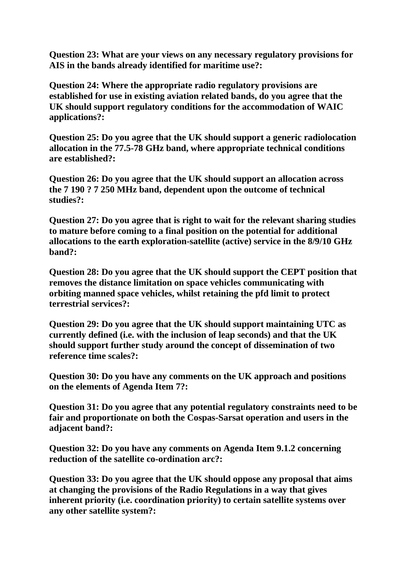**Question 23: What are your views on any necessary regulatory provisions for AIS in the bands already identified for maritime use?:**

**Question 24: Where the appropriate radio regulatory provisions are established for use in existing aviation related bands, do you agree that the UK should support regulatory conditions for the accommodation of WAIC applications?:**

**Question 25: Do you agree that the UK should support a generic radiolocation allocation in the 77.5-78 GHz band, where appropriate technical conditions are established?:**

**Question 26: Do you agree that the UK should support an allocation across the 7 190 ? 7 250 MHz band, dependent upon the outcome of technical studies?:**

**Question 27: Do you agree that is right to wait for the relevant sharing studies to mature before coming to a final position on the potential for additional allocations to the earth exploration-satellite (active) service in the 8/9/10 GHz band?:**

**Question 28: Do you agree that the UK should support the CEPT position that removes the distance limitation on space vehicles communicating with orbiting manned space vehicles, whilst retaining the pfd limit to protect terrestrial services?:**

**Question 29: Do you agree that the UK should support maintaining UTC as currently defined (i.e. with the inclusion of leap seconds) and that the UK should support further study around the concept of dissemination of two reference time scales?:**

**Question 30: Do you have any comments on the UK approach and positions on the elements of Agenda Item 7?:**

**Question 31: Do you agree that any potential regulatory constraints need to be fair and proportionate on both the Cospas-Sarsat operation and users in the adjacent band?:**

**Question 32: Do you have any comments on Agenda Item 9.1.2 concerning reduction of the satellite co-ordination arc?:**

**Question 33: Do you agree that the UK should oppose any proposal that aims at changing the provisions of the Radio Regulations in a way that gives inherent priority (i.e. coordination priority) to certain satellite systems over any other satellite system?:**